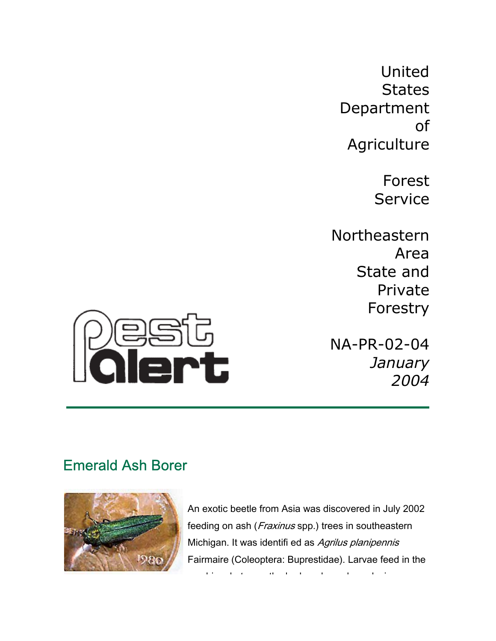United **States** Department of **Agriculture** 

> Forest Service

Northeastern Area State and Private Forestry

NA-PR-02-04 *January 2004*



# Emerald Ash Borer



An exotic beetle from Asia was discovered in July 2002 feeding on ash (*Fraxinus* spp.) trees in southeastern Michigan. It was identifi ed as Agrilus planipennis Fairmaire (Coleoptera: Buprestidae). Larvae feed in the

bi b t th b k d d d i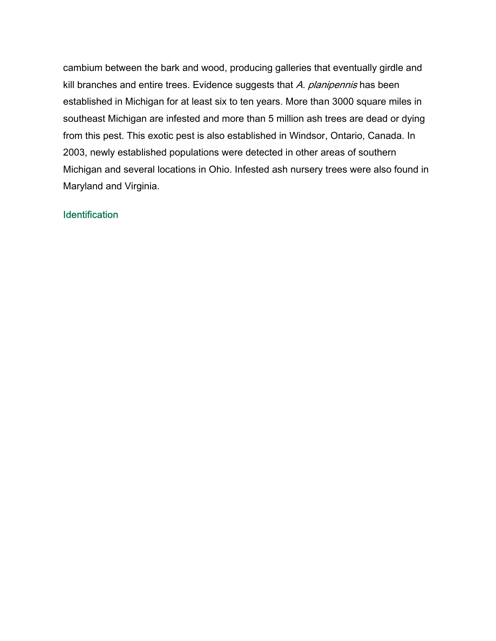cambium between the bark and wood, producing galleries that eventually girdle and kill branches and entire trees. Evidence suggests that A. planipennis has been established in Michigan for at least six to ten years. More than 3000 square miles in southeast Michigan are infested and more than 5 million ash trees are dead or dying from this pest. This exotic pest is also established in Windsor, Ontario, Canada. In 2003, newly established populations were detected in other areas of southern Michigan and several locations in Ohio. Infested ash nursery trees were also found in Maryland and Virginia.

## **Identification**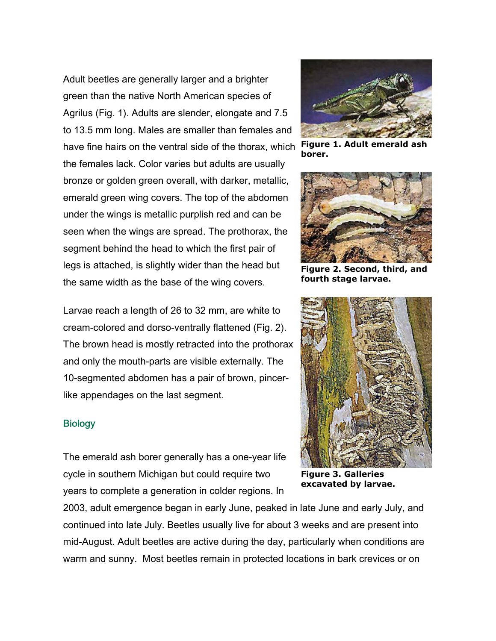Adult beetles are generally larger and a brighter green than the native North American species of Agrilus (Fig. 1). Adults are slender, elongate and 7.5 to 13.5 mm long. Males are smaller than females and have fine hairs on the ventral side of the thorax, which the females lack. Color varies but adults are usually bronze or golden green overall, with darker, metallic, emerald green wing covers. The top of the abdomen under the wings is metallic purplish red and can be seen when the wings are spread. The prothorax, the segment behind the head to which the first pair of legs is attached, is slightly wider than the head but the same width as the base of the wing covers.

Larvae reach a length of 26 to 32 mm, are white to cream-colored and dorso-ventrally flattened (Fig. 2). The brown head is mostly retracted into the prothorax and only the mouth-parts are visible externally. The 10-segmented abdomen has a pair of brown, pincerlike appendages on the last segment.

#### **Biology**

The emerald ash borer generally has a one-year life cycle in southern Michigan but could require two years to complete a generation in colder regions. In

2003, adult emergence began in early June, peaked in late June and early July, and continued into late July. Beetles usually live for about 3 weeks and are present into mid-August. Adult beetles are active during the day, particularly when conditions are warm and sunny. Most beetles remain in protected locations in bark crevices or on



**Figure 1. Adult emerald ash borer.** 



**Figure 2. Second, third, and fourth stage larvae.** 



**Figure 3. Galleries excavated by larvae.**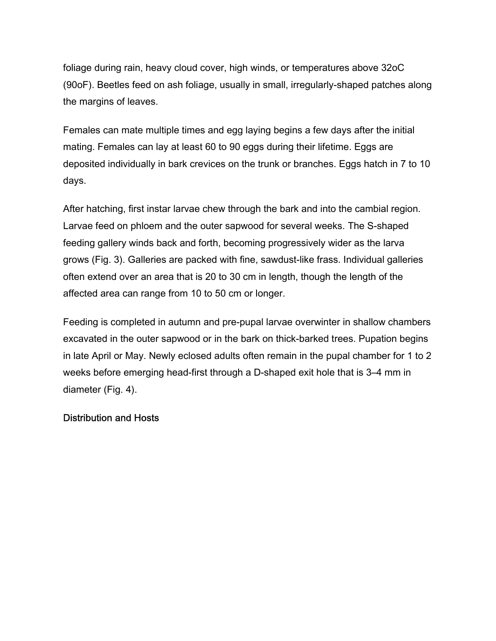foliage during rain, heavy cloud cover, high winds, or temperatures above 32oC (90oF). Beetles feed on ash foliage, usually in small, irregularly-shaped patches along the margins of leaves.

Females can mate multiple times and egg laying begins a few days after the initial mating. Females can lay at least 60 to 90 eggs during their lifetime. Eggs are deposited individually in bark crevices on the trunk or branches. Eggs hatch in 7 to 10 days.

After hatching, first instar larvae chew through the bark and into the cambial region. Larvae feed on phloem and the outer sapwood for several weeks. The S-shaped feeding gallery winds back and forth, becoming progressively wider as the larva grows (Fig. 3). Galleries are packed with fine, sawdust-like frass. Individual galleries often extend over an area that is 20 to 30 cm in length, though the length of the affected area can range from 10 to 50 cm or longer.

Feeding is completed in autumn and pre-pupal larvae overwinter in shallow chambers excavated in the outer sapwood or in the bark on thick-barked trees. Pupation begins in late April or May. Newly eclosed adults often remain in the pupal chamber for 1 to 2 weeks before emerging head-first through a D-shaped exit hole that is 3–4 mm in diameter (Fig. 4).

## Distribution and Hosts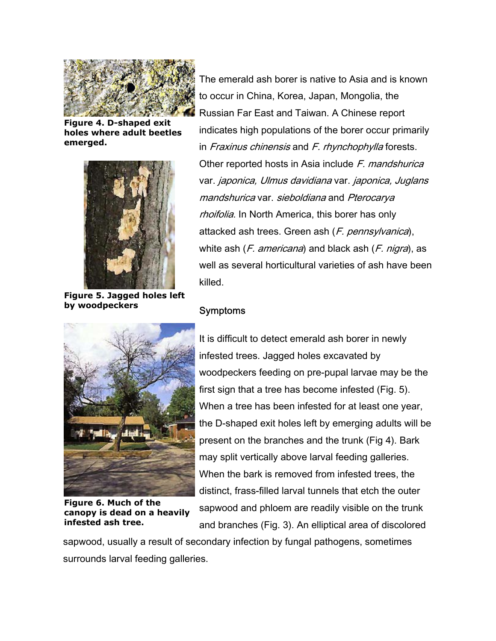

**Figure 4. D-shaped exit holes where adult beetles emerged.** 



**Figure 5. Jagged holes left by woodpeckers** 

The emerald ash borer is native to Asia and is known to occur in China, Korea, Japan, Mongolia, the Russian Far East and Taiwan. A Chinese report ndicates high populations of the borer occur primarily i in Fraxinus chinensis and F. rhynchophylla forests. Other reported hosts in Asia include F. mandshurica var. japonica, Ulmus davidiana var. japonica, Juglans mandshurica var. sieboldiana and Pterocarya rhoifolia. In North America, this borer has only attacked ash trees. Green ash (*F. pennsylvanica*), white ash  $(F.$  americana) and black ash  $(F.$  nigra), as well as several horticultural varieties of ash have been killed.

## **Symptoms**



**Figure 6. Much of the canopy is dead on a heavily infested ash tree.** 

It is difficult to detect emerald ash borer in newly infested trees. Jagged holes excavated by woodpeckers feeding on pre-pupal larvae may be the first sign that a tree has become infested (Fig. 5). When a tree has been infested for at least one year, the D-shaped exit holes left by emerging adults will be present on the branches and the trunk (Fig 4). Bark may split vertically above larval feeding galleries. When the bark is removed from infested trees, the distinct, frass-filled larval tunnels that etch the outer sapwood and phloem are readily visible on the trunk and branches (Fig. 3). An elliptical area of discolored

sapwood, usually a result of secondary infection by fungal pathogens, sometimes surrounds larval feeding galleries.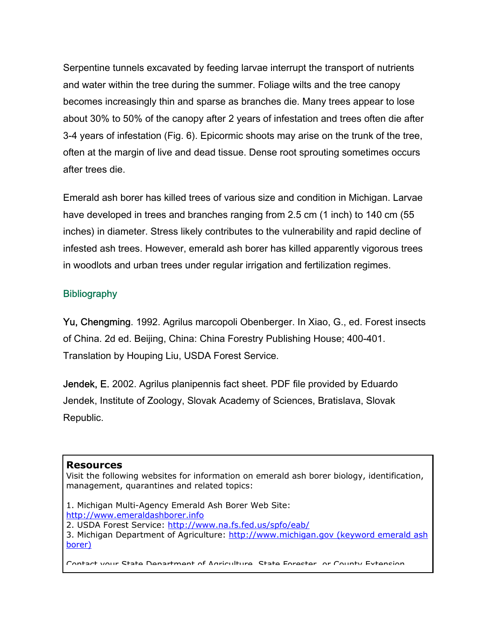Serpentine tunnels excavated by feeding larvae interrupt the transport of nutrients and water within the tree during the summer. Foliage wilts and the tree canopy becomes increasingly thin and sparse as branches die. Many trees appear to lose about 30% to 50% of the canopy after 2 years of infestation and trees often die after 3-4 years of infestation (Fig. 6). Epicormic shoots may arise on the trunk of the tree, often at the margin of live and dead tissue. Dense root sprouting sometimes occurs after trees die.

Emerald ash borer has killed trees of various size and condition in Michigan. Larvae have developed in trees and branches ranging from 2.5 cm (1 inch) to 140 cm (55 inches) in diameter. Stress likely contributes to the vulnerability and rapid decline of infested ash trees. However, emerald ash borer has killed apparently vigorous trees in woodlots and urban trees under regular irrigation and fertilization regimes.

## **Bibliography**

Yu, Chengming. 1992. Agrilus marcopoli Obenberger. In Xiao, G., ed. Forest insects of China. 2d ed. Beijing, China: China Forestry Publishing House; 400-401. Translation by Houping Liu, USDA Forest Service.

Jendek, E. 2002. Agrilus planipennis fact sheet. PDF file provided by Eduardo Jendek, Institute of Zoology, Slovak Academy of Sciences, Bratislava, Slovak Republic.

#### **Resources**

Visit the following websites for information on emerald ash borer biology, identification, management, quarantines and related topics:

- 1. Michigan Multi-Agency Emerald Ash Borer Web Site: [http://www.emeraldashborer.info](http://www.emeraldashborer.info/)
- 2. USDA Forest Service:<http://www.na.fs.fed.us/spfo/eab/>
- 3. Michigan Department of Agriculture: http://www.michigan.gov (keyword emerald ash [borer\)](http://www.michigan.gov (keyword emerald ash borer)/)

Contact your State Department of Agriculture State Forester or County Extension